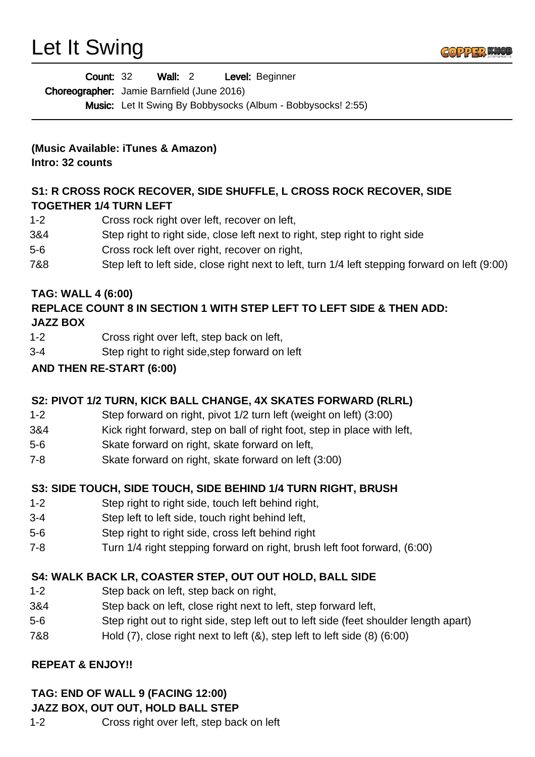# Let It Swing



| <b>Count: 32</b>                           | Wall: 2 | Level: Beginner                                                     |
|--------------------------------------------|---------|---------------------------------------------------------------------|
| Choreographer: Jamie Barnfield (June 2016) |         |                                                                     |
|                                            |         | <b>Music:</b> Let It Swing By Bobbysocks (Album - Bobbysocks! 2:55) |

#### **(Music Available: iTunes & Amazon) Intro: 32 counts**

**S1: R CROSS ROCK RECOVER, SIDE SHUFFLE, L CROSS ROCK RECOVER, SIDE TOGETHER 1/4 TURN LEFT**

- 1-2 Cross rock right over left, recover on left,
- 3&4 Step right to right side, close left next to right, step right to right side
- 5-6 Cross rock left over right, recover on right,
- 7&8 Step left to left side, close right next to left, turn 1/4 left stepping forward on left (9:00)

#### **TAG: WALL 4 (6:00)**

#### **REPLACE COUNT 8 IN SECTION 1 WITH STEP LEFT TO LEFT SIDE & THEN ADD: JAZZ BOX**

- 1-2 Cross right over left, step back on left,
- 3-4 Step right to right side,step forward on left

#### **AND THEN RE-START (6:00)**

## **S2: PIVOT 1/2 TURN, KICK BALL CHANGE, 4X SKATES FORWARD (RLRL)**

- 1-2 Step forward on right, pivot 1/2 turn left (weight on left) (3:00)
- 3&4 Kick right forward, step on ball of right foot, step in place with left,
- 5-6 Skate forward on right, skate forward on left,
- 7-8 Skate forward on right, skate forward on left (3:00)

## **S3: SIDE TOUCH, SIDE TOUCH, SIDE BEHIND 1/4 TURN RIGHT, BRUSH**

- 1-2 Step right to right side, touch left behind right,
- 3-4 Step left to left side, touch right behind left,
- 5-6 Step right to right side, cross left behind right
- 7-8 Turn 1/4 right stepping forward on right, brush left foot forward, (6:00)

## **S4: WALK BACK LR, COASTER STEP, OUT OUT HOLD, BALL SIDE**

- 1-2 Step back on left, step back on right,
- 3&4 Step back on left, close right next to left, step forward left,
- 5-6 Step right out to right side, step left out to left side (feet shoulder length apart)
- 7&8 Hold (7), close right next to left (&), step left to left side (8) (6:00)

## **REPEAT & ENJOY!!**

## **TAG: END OF WALL 9 (FACING 12:00)**

#### **JAZZ BOX, OUT OUT, HOLD BALL STEP**

1-2 Cross right over left, step back on left